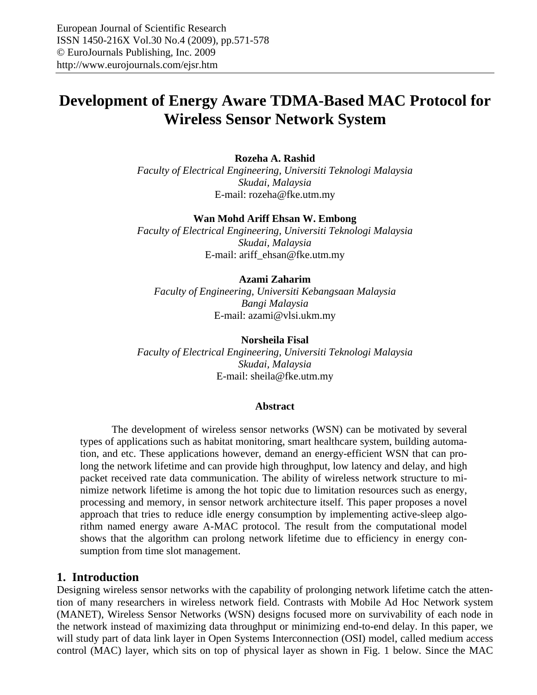# **Development of Energy Aware TDMA-Based MAC Protocol for Wireless Sensor Network System**

## **Rozeha A. Rashid**

*Faculty of Electrical Engineering, Universiti Teknologi Malaysia Skudai, Malaysia*  E-mail: rozeha@fke.utm.my

#### **Wan Mohd Ariff Ehsan W. Embong**

*Faculty of Electrical Engineering, Universiti Teknologi Malaysia Skudai, Malaysia*  E-mail: ariff\_ehsan@fke.utm.my

#### **Azami Zaharim**

*Faculty of Engineering, Universiti Kebangsaan Malaysia Bangi Malaysia*  E-mail: azami@vlsi.ukm.my

#### **Norsheila Fisal**

*Faculty of Electrical Engineering, Universiti Teknologi Malaysia Skudai, Malaysia*  E-mail: sheila@fke.utm.my

#### **Abstract**

The development of wireless sensor networks (WSN) can be motivated by several types of applications such as habitat monitoring, smart healthcare system, building automation, and etc. These applications however, demand an energy-efficient WSN that can prolong the network lifetime and can provide high throughput, low latency and delay, and high packet received rate data communication. The ability of wireless network structure to minimize network lifetime is among the hot topic due to limitation resources such as energy, processing and memory, in sensor network architecture itself. This paper proposes a novel approach that tries to reduce idle energy consumption by implementing active-sleep algorithm named energy aware A-MAC protocol. The result from the computational model shows that the algorithm can prolong network lifetime due to efficiency in energy consumption from time slot management.

## **1. Introduction**

Designing wireless sensor networks with the capability of prolonging network lifetime catch the attention of many researchers in wireless network field. Contrasts with Mobile Ad Hoc Network system (MANET), Wireless Sensor Networks (WSN) designs focused more on survivability of each node in the network instead of maximizing data throughput or minimizing end-to-end delay. In this paper, we will study part of data link layer in Open Systems Interconnection (OSI) model, called medium access control (MAC) layer, which sits on top of physical layer as shown in Fig. 1 below. Since the MAC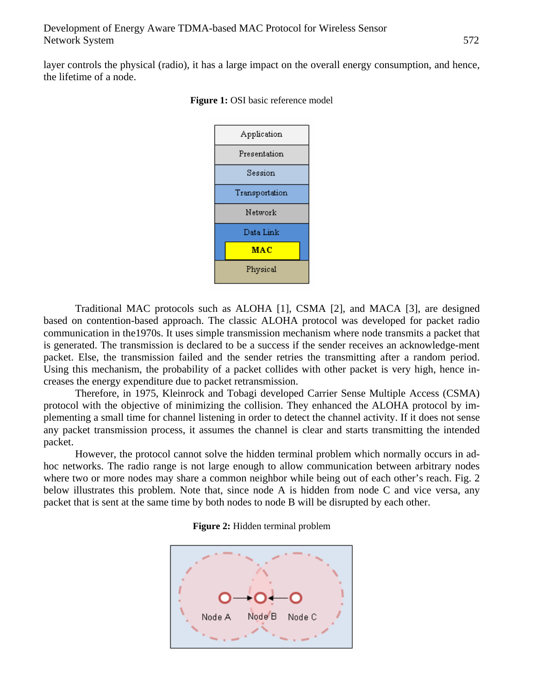layer controls the physical (radio), it has a large impact on the overall energy consumption, and hence, the lifetime of a node.



**Figure 1: OSI** basic reference model

Traditional MAC protocols such as ALOHA [1], CSMA [2], and MACA [3], are designed based on contention-based approach. The classic ALOHA protocol was developed for packet radio communication in the1970s. It uses simple transmission mechanism where node transmits a packet that is generated. The transmission is declared to be a success if the sender receives an acknowledge-ment packet. Else, the transmission failed and the sender retries the transmitting after a random period. Using this mechanism, the probability of a packet collides with other packet is very high, hence increases the energy expenditure due to packet retransmission.

Therefore, in 1975, Kleinrock and Tobagi developed Carrier Sense Multiple Access (CSMA) protocol with the objective of minimizing the collision. They enhanced the ALOHA protocol by implementing a small time for channel listening in order to detect the channel activity. If it does not sense any packet transmission process, it assumes the channel is clear and starts transmitting the intended packet.

However, the protocol cannot solve the hidden terminal problem which normally occurs in adhoc networks. The radio range is not large enough to allow communication between arbitrary nodes where two or more nodes may share a common neighbor while being out of each other's reach. Fig. 2 below illustrates this problem. Note that, since node A is hidden from node C and vice versa, any packet that is sent at the same time by both nodes to node B will be disrupted by each other.



**Figure 2:** Hidden terminal problem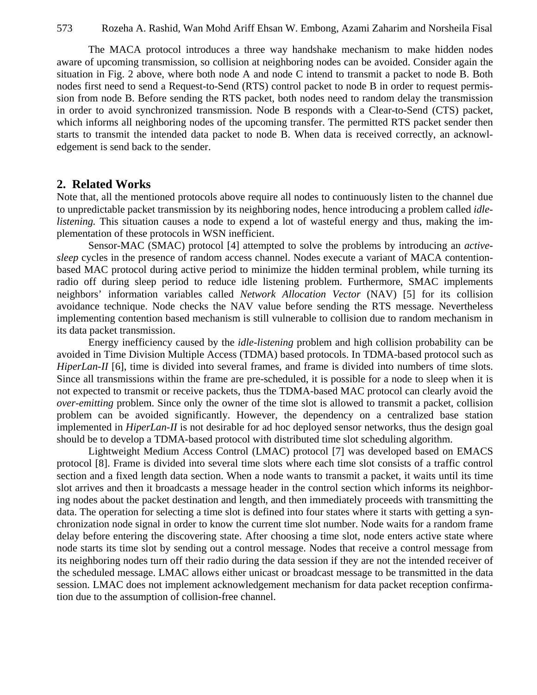The MACA protocol introduces a three way handshake mechanism to make hidden nodes aware of upcoming transmission, so collision at neighboring nodes can be avoided. Consider again the situation in Fig. 2 above, where both node A and node C intend to transmit a packet to node B. Both nodes first need to send a Request-to-Send (RTS) control packet to node B in order to request permission from node B. Before sending the RTS packet, both nodes need to random delay the transmission in order to avoid synchronized transmission. Node B responds with a Clear-to-Send (CTS) packet, which informs all neighboring nodes of the upcoming transfer. The permitted RTS packet sender then starts to transmit the intended data packet to node B. When data is received correctly, an acknowledgement is send back to the sender.

## **2. Related Works**

Note that, all the mentioned protocols above require all nodes to continuously listen to the channel due to unpredictable packet transmission by its neighboring nodes, hence introducing a problem called *idlelistening.* This situation causes a node to expend a lot of wasteful energy and thus, making the implementation of these protocols in WSN inefficient.

Sensor-MAC (SMAC) protocol [4] attempted to solve the problems by introducing an *activesleep* cycles in the presence of random access channel. Nodes execute a variant of MACA contentionbased MAC protocol during active period to minimize the hidden terminal problem, while turning its radio off during sleep period to reduce idle listening problem. Furthermore, SMAC implements neighbors' information variables called *Network Allocation Vector* (NAV) [5] for its collision avoidance technique. Node checks the NAV value before sending the RTS message. Nevertheless implementing contention based mechanism is still vulnerable to collision due to random mechanism in its data packet transmission.

Energy inefficiency caused by the *idle-listening* problem and high collision probability can be avoided in Time Division Multiple Access (TDMA) based protocols. In TDMA-based protocol such as *HiperLan-II* [6], time is divided into several frames, and frame is divided into numbers of time slots. Since all transmissions within the frame are pre-scheduled, it is possible for a node to sleep when it is not expected to transmit or receive packets, thus the TDMA-based MAC protocol can clearly avoid the *over-emitting* problem. Since only the owner of the time slot is allowed to transmit a packet, collision problem can be avoided significantly. However, the dependency on a centralized base station implemented in *HiperLan-II* is not desirable for ad hoc deployed sensor networks, thus the design goal should be to develop a TDMA-based protocol with distributed time slot scheduling algorithm.

Lightweight Medium Access Control (LMAC) protocol [7] was developed based on EMACS protocol [8]. Frame is divided into several time slots where each time slot consists of a traffic control section and a fixed length data section. When a node wants to transmit a packet, it waits until its time slot arrives and then it broadcasts a message header in the control section which informs its neighboring nodes about the packet destination and length, and then immediately proceeds with transmitting the data. The operation for selecting a time slot is defined into four states where it starts with getting a synchronization node signal in order to know the current time slot number. Node waits for a random frame delay before entering the discovering state. After choosing a time slot, node enters active state where node starts its time slot by sending out a control message. Nodes that receive a control message from its neighboring nodes turn off their radio during the data session if they are not the intended receiver of the scheduled message. LMAC allows either unicast or broadcast message to be transmitted in the data session. LMAC does not implement acknowledgement mechanism for data packet reception confirmation due to the assumption of collision-free channel.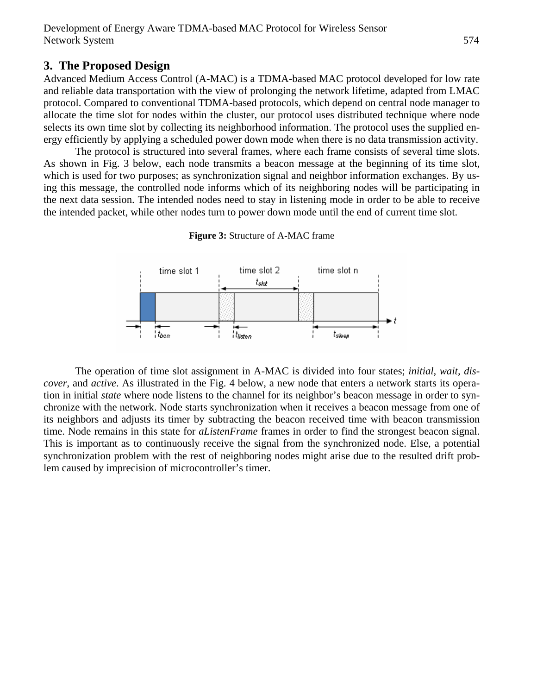# **3. The Proposed Design**

Advanced Medium Access Control (A-MAC) is a TDMA-based MAC protocol developed for low rate and reliable data transportation with the view of prolonging the network lifetime, adapted from LMAC protocol. Compared to conventional TDMA-based protocols, which depend on central node manager to allocate the time slot for nodes within the cluster, our protocol uses distributed technique where node selects its own time slot by collecting its neighborhood information. The protocol uses the supplied energy efficiently by applying a scheduled power down mode when there is no data transmission activity.

The protocol is structured into several frames, where each frame consists of several time slots. As shown in Fig. 3 below, each node transmits a beacon message at the beginning of its time slot, which is used for two purposes; as synchronization signal and neighbor information exchanges. By using this message, the controlled node informs which of its neighboring nodes will be participating in the next data session. The intended nodes need to stay in listening mode in order to be able to receive the intended packet, while other nodes turn to power down mode until the end of current time slot.





The operation of time slot assignment in A-MAC is divided into four states; *initial, wait, discover*, and *active*. As illustrated in the Fig. 4 below, a new node that enters a network starts its operation in initial *state* where node listens to the channel for its neighbor's beacon message in order to synchronize with the network. Node starts synchronization when it receives a beacon message from one of its neighbors and adjusts its timer by subtracting the beacon received time with beacon transmission time. Node remains in this state for *aListenFrame* frames in order to find the strongest beacon signal. This is important as to continuously receive the signal from the synchronized node. Else, a potential synchronization problem with the rest of neighboring nodes might arise due to the resulted drift problem caused by imprecision of microcontroller's timer.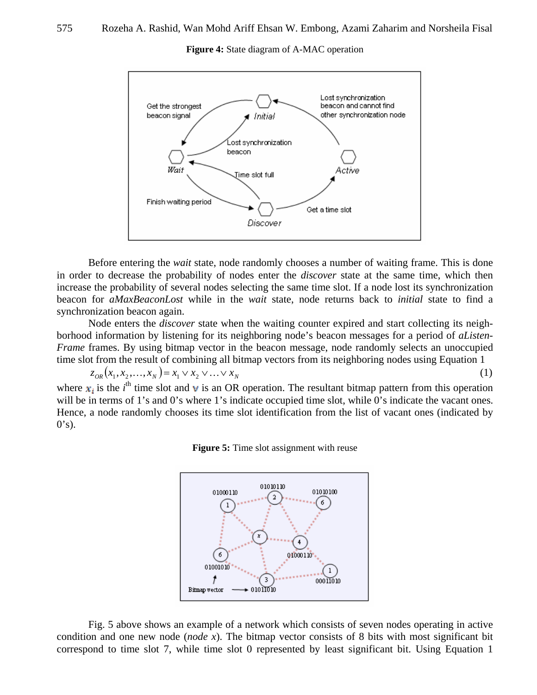

**Figure 4:** State diagram of A-MAC operation

Before entering the *wait* state, node randomly chooses a number of waiting frame. This is done in order to decrease the probability of nodes enter the *discover* state at the same time, which then increase the probability of several nodes selecting the same time slot. If a node lost its synchronization beacon for *aMaxBeaconLost* while in the *wait* state, node returns back to *initial* state to find a synchronization beacon again.

Node enters the *discover* state when the waiting counter expired and start collecting its neighborhood information by listening for its neighboring node's beacon messages for a period of *aListen-Frame* frames. By using bitmap vector in the beacon message, node randomly selects an unoccupied time slot from the result of combining all bitmap vectors from its neighboring nodes using Equation 1

 $z_{OR}(x_1, x_2, \dots, x_N) = x_1 \vee x_2 \vee \dots \vee x_N$  (1) where  $x_i$  is the *i*<sup>th</sup> time slot and **v** is an OR operation. The resultant bitmap pattern from this operation will be in terms of 1's and 0's where 1's indicate occupied time slot, while 0's indicate the vacant ones.

Hence, a node randomly chooses its time slot identification from the list of vacant ones (indicated by



 $0's$ ).



Fig. 5 above shows an example of a network which consists of seven nodes operating in active condition and one new node (*node x*). The bitmap vector consists of 8 bits with most significant bit correspond to time slot 7, while time slot 0 represented by least significant bit. Using Equation 1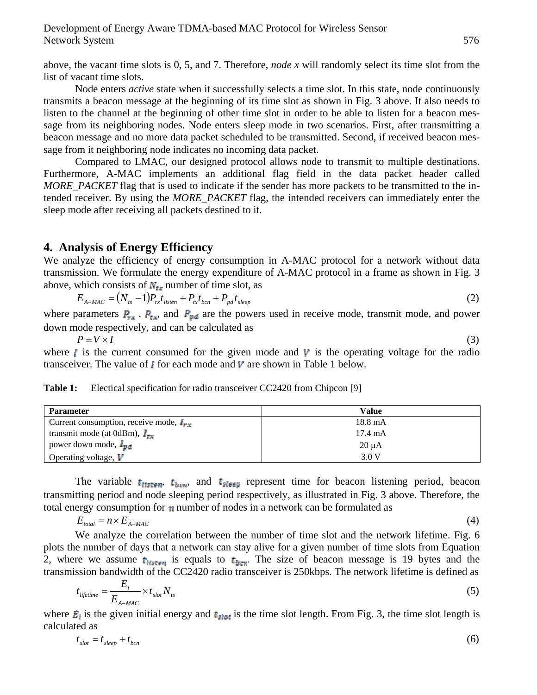above, the vacant time slots is 0, 5, and 7. Therefore, *node x* will randomly select its time slot from the list of vacant time slots.

Node enters *active* state when it successfully selects a time slot. In this state, node continuously transmits a beacon message at the beginning of its time slot as shown in Fig. 3 above. It also needs to listen to the channel at the beginning of other time slot in order to be able to listen for a beacon message from its neighboring nodes. Node enters sleep mode in two scenarios. First, after transmitting a beacon message and no more data packet scheduled to be transmitted. Second, if received beacon message from it neighboring node indicates no incoming data packet.

Compared to LMAC, our designed protocol allows node to transmit to multiple destinations. Furthermore, A-MAC implements an additional flag field in the data packet header called *MORE\_PACKET* flag that is used to indicate if the sender has more packets to be transmitted to the intended receiver. By using the *MORE\_PACKET* flag, the intended receivers can immediately enter the sleep mode after receiving all packets destined to it.

## **4. Analysis of Energy Efficiency**

We analyze the efficiency of energy consumption in A-MAC protocol for a network without data transmission. We formulate the energy expenditure of A-MAC protocol in a frame as shown in Fig. 3 above, which consists of  $N_{\text{es}}$  number of time slot, as

$$
E_{A-MAC} = (N_{ts} - 1)P_{rx}t_{listen} + P_{tx}t_{bcn} + P_{pd}t_{sleep}
$$
\n(2)

where parameters  $P_{xx}$ ,  $P_{xx}$  and  $P_{pd}$  are the powers used in receive mode, transmit mode, and power down mode respectively, and can be calculated as

 $P = V \times I$  (3) where  $\boldsymbol{l}$  is the current consumed for the given mode and  $\boldsymbol{V}$  is the operating voltage for the radio transceiver. The value of  $\boldsymbol{I}$  for each mode and  $\boldsymbol{V}$  are shown in Table 1 below.

**Table 1:** Electical specification for radio transceiver CC2420 from Chipcon [9]

| <b>Parameter</b>                                    | Value             |
|-----------------------------------------------------|-------------------|
| Current consumption, receive mode, $I_{\text{max}}$ | $18.8 \text{ mA}$ |
| transmit mode (at 0dBm), $I_{\text{max}}$           | $17.4 \text{ mA}$ |
| power down mode, $I_{\mathbf{p}\mathbf{d}}$         | $20 \mu A$        |
| Operating voltage, $V$                              | 3.0 V             |

The variable  $t_{lstm}$ ,  $t_{bern}$ , and  $t_{sleep}$  represent time for beacon listening period, beacon transmitting period and node sleeping period respectively, as illustrated in Fig. 3 above. Therefore, the total energy consumption for  $\eta$  number of nodes in a network can be formulated as

$$
E_{total} = n \times E_{A-MAC} \tag{4}
$$

We analyze the correlation between the number of time slot and the network lifetime. Fig. 6 plots the number of days that a network can stay alive for a given number of time slots from Equation 2, where we assume  $t_{\text{inter}}$  is equals to  $t_{\text{form}}$ . The size of beacon message is 19 bytes and the transmission bandwidth of the CC2420 radio transceiver is 250kbps. The network lifetime is defined as

$$
t_{liferime} = \frac{E_i}{E_{A-MAC}} \times t_{slot} N_{ts}
$$
 (5)

where  $\vec{E}_i$  is the given initial energy and  $\vec{E}_{slot}$  is the time slot length. From Fig. 3, the time slot length is calculated as

$$
t_{slot} = t_{sleep} + t_{bcn} \tag{6}
$$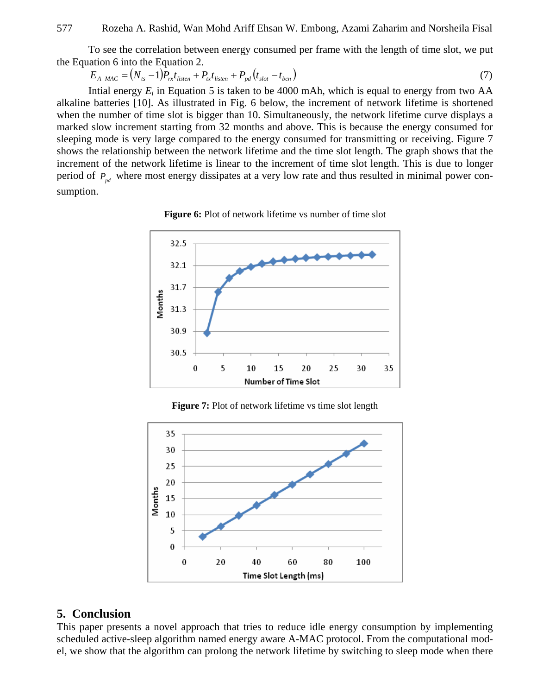To see the correlation between energy consumed per frame with the length of time slot, we put the Equation 6 into the Equation 2.

$$
E_{A-MAC} = (N_{ts} - 1)P_{rx}t_{listen} + P_{xt}t_{listen} + P_{pd}(t_{slot} - t_{bcn})
$$
\n(7)

Intial energy  $E_i$  in Equation 5 is taken to be 4000 mAh, which is equal to energy from two  $AA$ alkaline batteries [10]. As illustrated in Fig. 6 below, the increment of network lifetime is shortened when the number of time slot is bigger than 10. Simultaneously, the network lifetime curve displays a marked slow increment starting from 32 months and above. This is because the energy consumed for sleeping mode is very large compared to the energy consumed for transmitting or receiving. Figure 7 shows the relationship between the network lifetime and the time slot length. The graph shows that the increment of the network lifetime is linear to the increment of time slot length. This is due to longer period of  $P_{nd}$  where most energy dissipates at a very low rate and thus resulted in minimal power consumption.





**Figure 7:** Plot of network lifetime vs time slot length



# **5. Conclusion**

This paper presents a novel approach that tries to reduce idle energy consumption by implementing scheduled active-sleep algorithm named energy aware A-MAC protocol. From the computational model, we show that the algorithm can prolong the network lifetime by switching to sleep mode when there